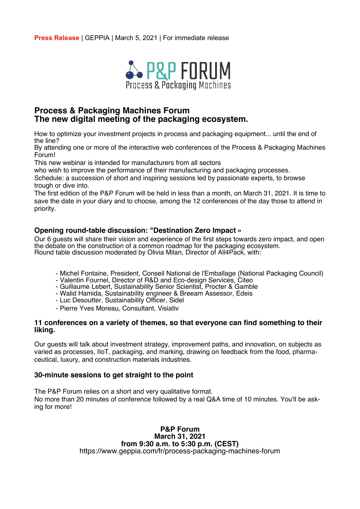**Press Release** | GEPPIA | March 5, 2021 | For immediate release



# **Process & Packaging Machines Forum The new digital meeting of the packaging ecosystem.**

How to optimize your investment projects in process and packaging equipment... until the end of the line?

By attending one or more of the interactive web conferences of the Process & Packaging Machines Forum!

This new webinar is intended for manufacturers from all sectors

who wish to improve the performance of their manufacturing and packaging processes.

Schedule: a succession of short and inspiring sessions led by passionate experts, to browse trough or dive into.

The first edition of the P&P Forum will be held in less than a month, on March 31, 2021. It is time to save the date in your diary and to choose, among the 12 conferences of the day those to attend in priority.

### **Opening round-table discussion: "Destination Zero Impact »**

Our 6 guests will share their vision and experience of the first steps towards zero impact, and open the debate on the construction of a common roadmap for the packaging ecosystem. Round table discussion moderated by Olivia Milan, Director of All4Pack, with:

- Michel Fontaine, President, Conseil National de l'Emballage (National Packaging Council)
- Valentin Fournel, Director of R&D and Eco-design Services, Citeo
- Guillaume Lebert, Sustainability Senior Scientist, Procter & Gamble
- Walid Hamida, Sustainability engineer & Breeam Assessor, Edeis
- Luc Desoutter, Sustainability Officer, Sidel
- Pierre Yves Moreau, Consultant, Visiativ

#### **11 conferences on a variety of themes, so that everyone can find something to their liking.**

Our guests will talk about investment strategy, improvement paths, and innovation, on subjects as varied as processes, IIoT, packaging, and marking, drawing on feedback from the food, pharmaceutical, luxury, and construction materials industries.

## **30-minute sessions to get straight to the point**

The P&P Forum relies on a short and very qualitative format. No more than 20 minutes of conference followed by a real Q&A time of 10 minutes. You'll be asking for more!

> **P&P Forum March 31, 2021 from 9:30 a.m. to 5:30 p.m. (CEST)** https://www.geppia.com/fr/process-packaging-machines-forum